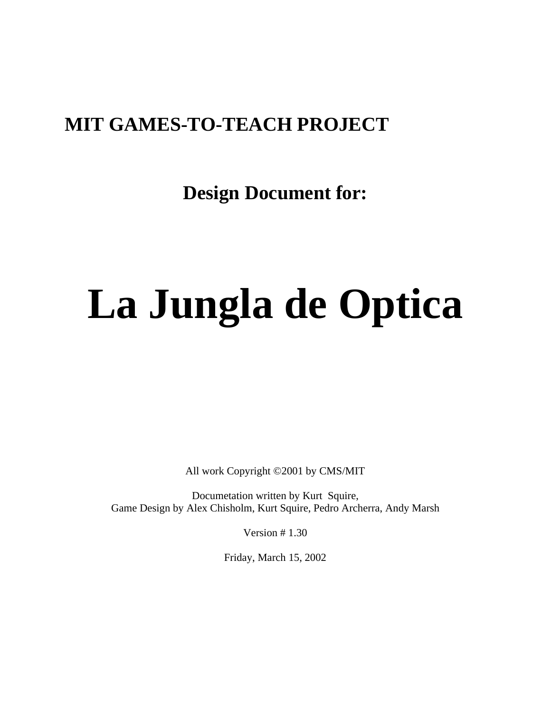# **MIT GAMES-TO-TEACH PROJECT**

**Design Document for:**

# **La Jungla de Optica**

All work Copyright ©2001 by CMS/MIT

Documetation written by Kurt Squire, Game Design by Alex Chisholm, Kurt Squire, Pedro Archerra, Andy Marsh

Version # 1.30

Friday, March 15, 2002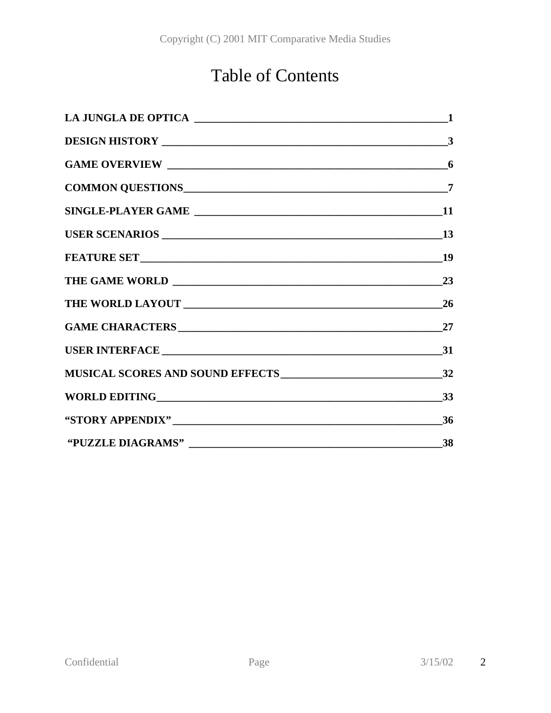# **Table of Contents**

|                  | -1 |
|------------------|----|
|                  |    |
|                  |    |
|                  |    |
|                  |    |
|                  |    |
|                  |    |
|                  |    |
|                  | 26 |
|                  |    |
|                  | 31 |
|                  |    |
| WORLD EDITING 33 |    |
|                  | 36 |
|                  |    |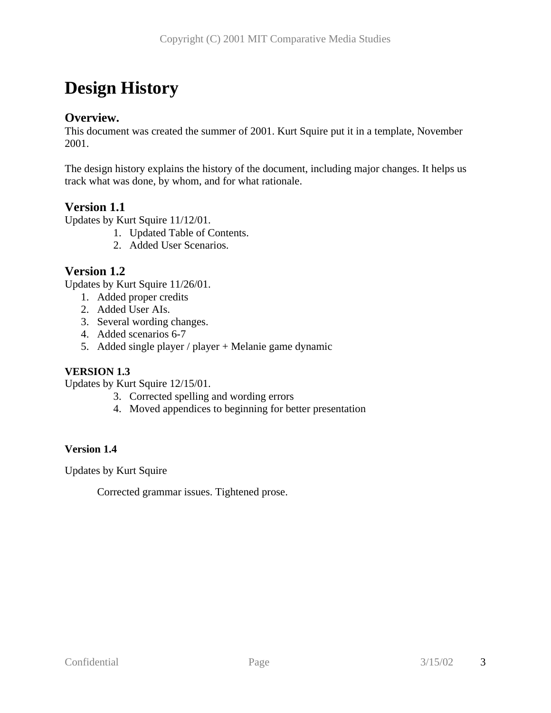# **Design History**

# **Overview.**

This document was created the summer of 2001. Kurt Squire put it in a template, November 2001.

The design history explains the history of the document, including major changes. It helps us track what was done, by whom, and for what rationale.

# **Version 1.1**

Updates by Kurt Squire 11/12/01.

- 1. Updated Table of Contents.
- 2. Added User Scenarios.

# **Version 1.2**

Updates by Kurt Squire 11/26/01.

- 1. Added proper credits
- 2. Added User AIs.
- 3. Several wording changes.
- 4. Added scenarios 6-7
- 5. Added single player / player + Melanie game dynamic

### **VERSION 1.3**

Updates by Kurt Squire 12/15/01.

- 3. Corrected spelling and wording errors
- 4. Moved appendices to beginning for better presentation

#### **Version 1.4**

Updates by Kurt Squire

Corrected grammar issues. Tightened prose.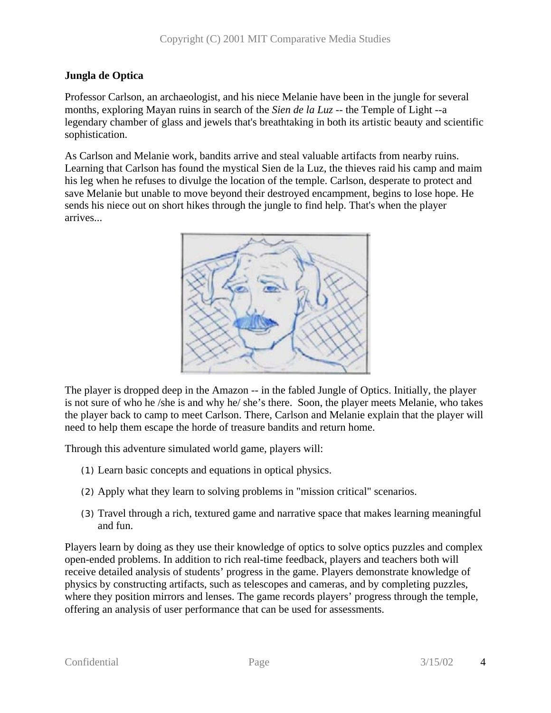#### **Jungla de Optica**

Professor Carlson, an archaeologist, and his niece Melanie have been in the jungle for several months, exploring Mayan ruins in search of the *Sien de la Luz* -- the Temple of Light --a legendary chamber of glass and jewels that's breathtaking in both its artistic beauty and scientific sophistication.

As Carlson and Melanie work, bandits arrive and steal valuable artifacts from nearby ruins. Learning that Carlson has found the mystical Sien de la Luz, the thieves raid his camp and maim his leg when he refuses to divulge the location of the temple. Carlson, desperate to protect and save Melanie but unable to move beyond their destroyed encampment, begins to lose hope. He sends his niece out on short hikes through the jungle to find help. That's when the player arrives...



The player is dropped deep in the Amazon -- in the fabled Jungle of Optics. Initially, the player is not sure of who he /she is and why he/ she's there. Soon, the player meets Melanie, who takes the player back to camp to meet Carlson. There, Carlson and Melanie explain that the player will need to help them escape the horde of treasure bandits and return home.

Through this adventure simulated world game, players will:

- (1) Learn basic concepts and equations in optical physics.
- (2) Apply what they learn to solving problems in "mission critical" scenarios.
- (3) Travel through a rich, textured game and narrative space that makes learning meaningful and fun.

Players learn by doing as they use their knowledge of optics to solve optics puzzles and complex open-ended problems. In addition to rich real-time feedback, players and teachers both will receive detailed analysis of students' progress in the game. Players demonstrate knowledge of physics by constructing artifacts, such as telescopes and cameras, and by completing puzzles, where they position mirrors and lenses. The game records players' progress through the temple, offering an analysis of user performance that can be used for assessments.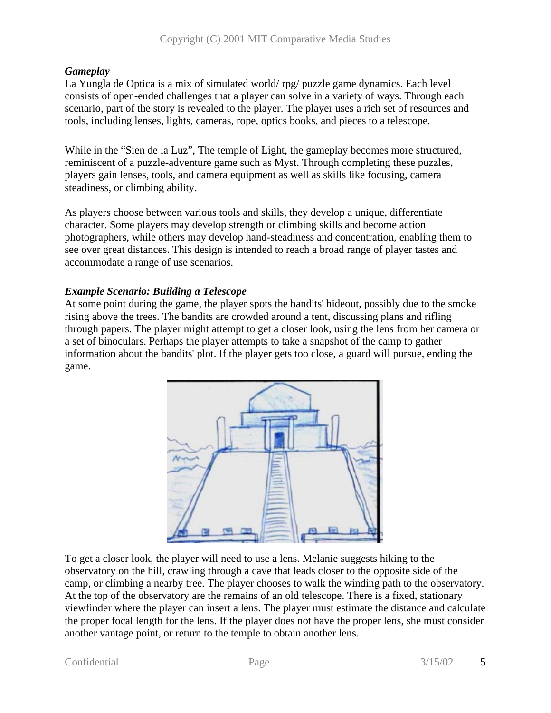#### *Gameplay*

La Yungla de Optica is a mix of simulated world/ rpg/ puzzle game dynamics. Each level consists of open-ended challenges that a player can solve in a variety of ways. Through each scenario, part of the story is revealed to the player. The player uses a rich set of resources and tools, including lenses, lights, cameras, rope, optics books, and pieces to a telescope.

While in the "Sien de la Luz", The temple of Light, the gameplay becomes more structured, reminiscent of a puzzle-adventure game such as Myst. Through completing these puzzles, players gain lenses, tools, and camera equipment as well as skills like focusing, camera steadiness, or climbing ability.

As players choose between various tools and skills, they develop a unique, differentiate character. Some players may develop strength or climbing skills and become action photographers, while others may develop hand-steadiness and concentration, enabling them to see over great distances. This design is intended to reach a broad range of player tastes and accommodate a range of use scenarios.

#### *Example Scenario: Building a Telescope*

At some point during the game, the player spots the bandits' hideout, possibly due to the smoke rising above the trees. The bandits are crowded around a tent, discussing plans and rifling through papers. The player might attempt to get a closer look, using the lens from her camera or a set of binoculars. Perhaps the player attempts to take a snapshot of the camp to gather information about the bandits' plot. If the player gets too close, a guard will pursue, ending the game.



To get a closer look, the player will need to use a lens. Melanie suggests hiking to the observatory on the hill, crawling through a cave that leads closer to the opposite side of the camp, or climbing a nearby tree. The player chooses to walk the winding path to the observatory. At the top of the observatory are the remains of an old telescope. There is a fixed, stationary viewfinder where the player can insert a lens. The player must estimate the distance and calculate the proper focal length for the lens. If the player does not have the proper lens, she must consider another vantage point, or return to the temple to obtain another lens.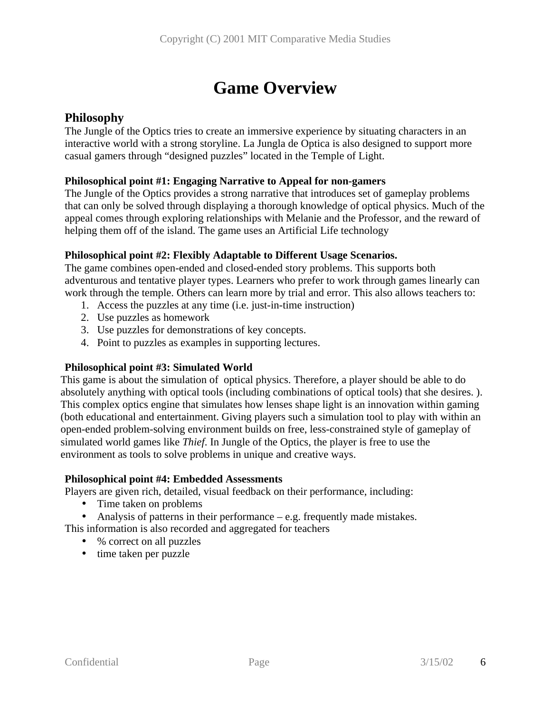# **Game Overview**

### **Philosophy**

The Jungle of the Optics tries to create an immersive experience by situating characters in an interactive world with a strong storyline. La Jungla de Optica is also designed to support more casual gamers through "designed puzzles" located in the Temple of Light.

#### **Philosophical point #1: Engaging Narrative to Appeal for non-gamers**

The Jungle of the Optics provides a strong narrative that introduces set of gameplay problems that can only be solved through displaying a thorough knowledge of optical physics. Much of the appeal comes through exploring relationships with Melanie and the Professor, and the reward of helping them off of the island. The game uses an Artificial Life technology

#### **Philosophical point #2: Flexibly Adaptable to Different Usage Scenarios.**

The game combines open-ended and closed-ended story problems. This supports both adventurous and tentative player types. Learners who prefer to work through games linearly can work through the temple. Others can learn more by trial and error. This also allows teachers to:

- 1. Access the puzzles at any time (i.e. just-in-time instruction)
- 2. Use puzzles as homework
- 3. Use puzzles for demonstrations of key concepts.
- 4. Point to puzzles as examples in supporting lectures.

#### **Philosophical point #3: Simulated World**

This game is about the simulation of optical physics. Therefore, a player should be able to do absolutely anything with optical tools (including combinations of optical tools) that she desires. ). This complex optics engine that simulates how lenses shape light is an innovation within gaming (both educational and entertainment. Giving players such a simulation tool to play with within an open-ended problem-solving environment builds on free, less-constrained style of gameplay of simulated world games like *Thief*. In Jungle of the Optics, the player is free to use the environment as tools to solve problems in unique and creative ways.

#### **Philosophical point #4: Embedded Assessments**

Players are given rich, detailed, visual feedback on their performance, including:

- Time taken on problems
- Analysis of patterns in their performance e.g. frequently made mistakes.

This information is also recorded and aggregated for teachers

- % correct on all puzzles
- time taken per puzzle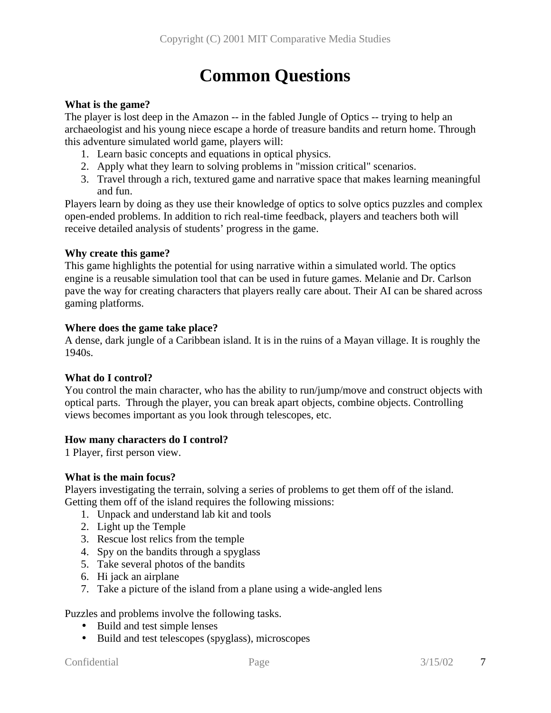# **Common Questions**

#### **What is the game?**

The player is lost deep in the Amazon -- in the fabled Jungle of Optics -- trying to help an archaeologist and his young niece escape a horde of treasure bandits and return home. Through this adventure simulated world game, players will:

- 1. Learn basic concepts and equations in optical physics.
- 2. Apply what they learn to solving problems in "mission critical" scenarios.
- 3. Travel through a rich, textured game and narrative space that makes learning meaningful and fun.

Players learn by doing as they use their knowledge of optics to solve optics puzzles and complex open-ended problems. In addition to rich real-time feedback, players and teachers both will receive detailed analysis of students' progress in the game.

#### **Why create this game?**

This game highlights the potential for using narrative within a simulated world. The optics engine is a reusable simulation tool that can be used in future games. Melanie and Dr. Carlson pave the way for creating characters that players really care about. Their AI can be shared across gaming platforms.

#### **Where does the game take place?**

A dense, dark jungle of a Caribbean island. It is in the ruins of a Mayan village. It is roughly the 1940s.

#### **What do I control?**

You control the main character, who has the ability to run/jump/move and construct objects with optical parts. Through the player, you can break apart objects, combine objects. Controlling views becomes important as you look through telescopes, etc.

#### **How many characters do I control?**

1 Player, first person view.

#### **What is the main focus?**

Players investigating the terrain, solving a series of problems to get them off of the island. Getting them off of the island requires the following missions:

- 1. Unpack and understand lab kit and tools
- 2. Light up the Temple
- 3. Rescue lost relics from the temple
- 4. Spy on the bandits through a spyglass
- 5. Take several photos of the bandits
- 6. Hi jack an airplane
- 7. Take a picture of the island from a plane using a wide-angled lens

Puzzles and problems involve the following tasks.

- Build and test simple lenses
- Build and test telescopes (spyglass), microscopes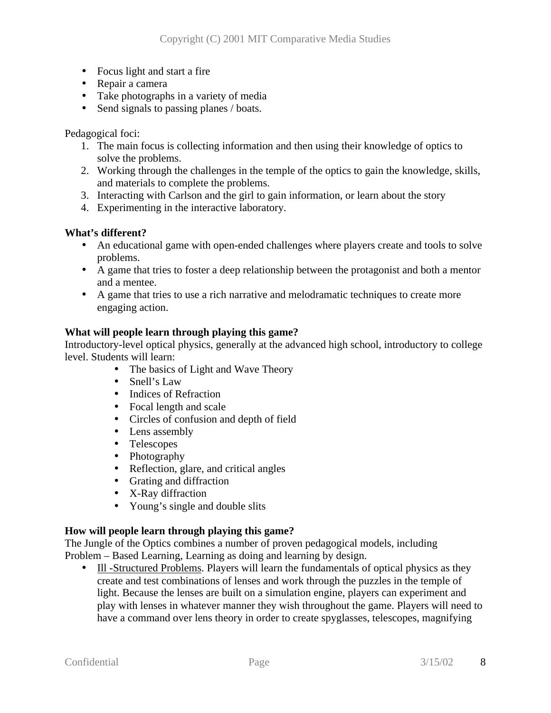- Focus light and start a fire
- Repair a camera
- Take photographs in a variety of media
- Send signals to passing planes / boats.

Pedagogical foci:

- 1. The main focus is collecting information and then using their knowledge of optics to solve the problems.
- 2. Working through the challenges in the temple of the optics to gain the knowledge, skills, and materials to complete the problems.
- 3. Interacting with Carlson and the girl to gain information, or learn about the story
- 4. Experimenting in the interactive laboratory.

#### **What's different?**

- An educational game with open-ended challenges where players create and tools to solve problems.
- A game that tries to foster a deep relationship between the protagonist and both a mentor and a mentee.
- A game that tries to use a rich narrative and melodramatic techniques to create more engaging action.

#### **What will people learn through playing this game?**

Introductory-level optical physics, generally at the advanced high school, introductory to college level. Students will learn:

- The basics of Light and Wave Theory
- Snell's Law
- Indices of Refraction
- Focal length and scale
- Circles of confusion and depth of field
- Lens assembly
- Telescopes
- Photography
- Reflection, glare, and critical angles
- Grating and diffraction
- X-Ray diffraction
- Young's single and double slits

#### **How will people learn through playing this game?**

The Jungle of the Optics combines a number of proven pedagogical models, including Problem – Based Learning, Learning as doing and learning by design.

• Ill -Structured Problems. Players will learn the fundamentals of optical physics as they create and test combinations of lenses and work through the puzzles in the temple of light. Because the lenses are built on a simulation engine, players can experiment and play with lenses in whatever manner they wish throughout the game. Players will need to have a command over lens theory in order to create spyglasses, telescopes, magnifying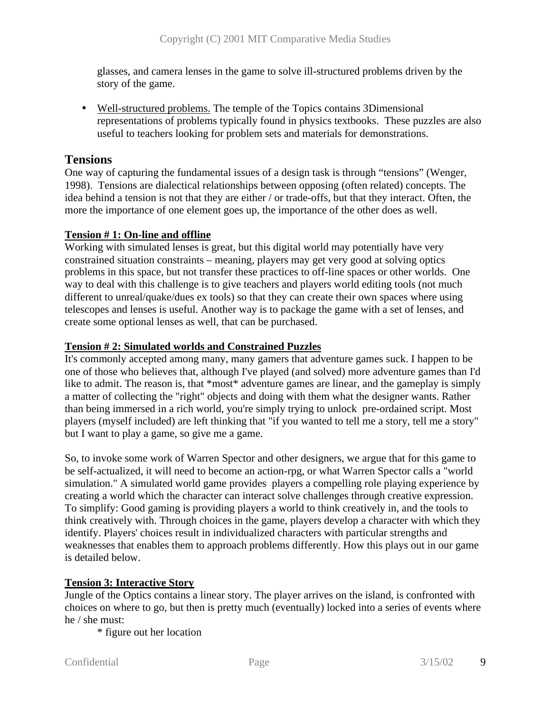glasses, and camera lenses in the game to solve ill-structured problems driven by the story of the game.

• Well-structured problems. The temple of the Topics contains 3Dimensional representations of problems typically found in physics textbooks. These puzzles are also useful to teachers looking for problem sets and materials for demonstrations.

#### **Tensions**

One way of capturing the fundamental issues of a design task is through "tensions" (Wenger, 1998). Tensions are dialectical relationships between opposing (often related) concepts. The idea behind a tension is not that they are either / or trade-offs, but that they interact. Often, the more the importance of one element goes up, the importance of the other does as well.

#### **Tension # 1: On-line and offline**

Working with simulated lenses is great, but this digital world may potentially have very constrained situation constraints – meaning, players may get very good at solving optics problems in this space, but not transfer these practices to off-line spaces or other worlds. One way to deal with this challenge is to give teachers and players world editing tools (not much different to unreal/quake/dues ex tools) so that they can create their own spaces where using telescopes and lenses is useful. Another way is to package the game with a set of lenses, and create some optional lenses as well, that can be purchased.

#### **Tension # 2: Simulated worlds and Constrained Puzzles**

It's commonly accepted among many, many gamers that adventure games suck. I happen to be one of those who believes that, although I've played (and solved) more adventure games than I'd like to admit. The reason is, that \*most\* adventure games are linear, and the gameplay is simply a matter of collecting the "right" objects and doing with them what the designer wants. Rather than being immersed in a rich world, you're simply trying to unlock pre-ordained script. Most players (myself included) are left thinking that "if you wanted to tell me a story, tell me a story" but I want to play a game, so give me a game.

So, to invoke some work of Warren Spector and other designers, we argue that for this game to be self-actualized, it will need to become an action-rpg, or what Warren Spector calls a "world simulation." A simulated world game provides players a compelling role playing experience by creating a world which the character can interact solve challenges through creative expression. To simplify: Good gaming is providing players a world to think creatively in, and the tools to think creatively with. Through choices in the game, players develop a character with which they identify. Players' choices result in individualized characters with particular strengths and weaknesses that enables them to approach problems differently. How this plays out in our game is detailed below.

#### **Tension 3: Interactive Story**

Jungle of the Optics contains a linear story. The player arrives on the island, is confronted with choices on where to go, but then is pretty much (eventually) locked into a series of events where he / she must:

\* figure out her location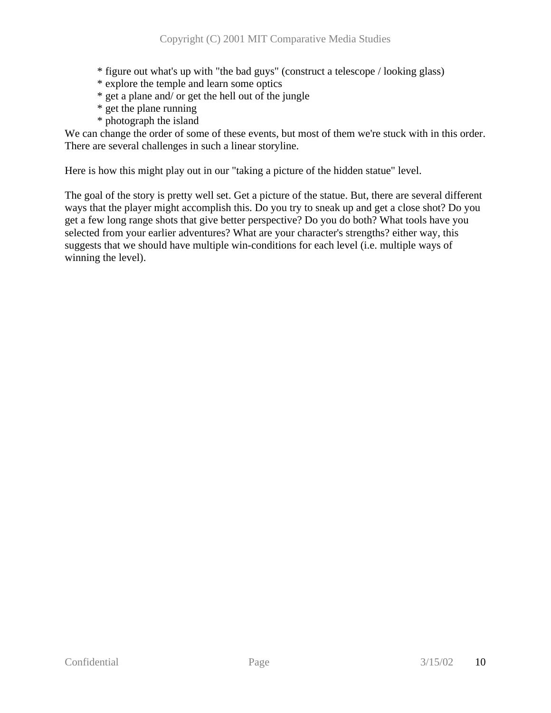- \* figure out what's up with "the bad guys" (construct a telescope / looking glass)
- \* explore the temple and learn some optics
- \* get a plane and/ or get the hell out of the jungle
- \* get the plane running
- \* photograph the island

We can change the order of some of these events, but most of them we're stuck with in this order. There are several challenges in such a linear storyline.

Here is how this might play out in our "taking a picture of the hidden statue" level.

The goal of the story is pretty well set. Get a picture of the statue. But, there are several different ways that the player might accomplish this. Do you try to sneak up and get a close shot? Do you get a few long range shots that give better perspective? Do you do both? What tools have you selected from your earlier adventures? What are your character's strengths? either way, this suggests that we should have multiple win-conditions for each level (i.e. multiple ways of winning the level).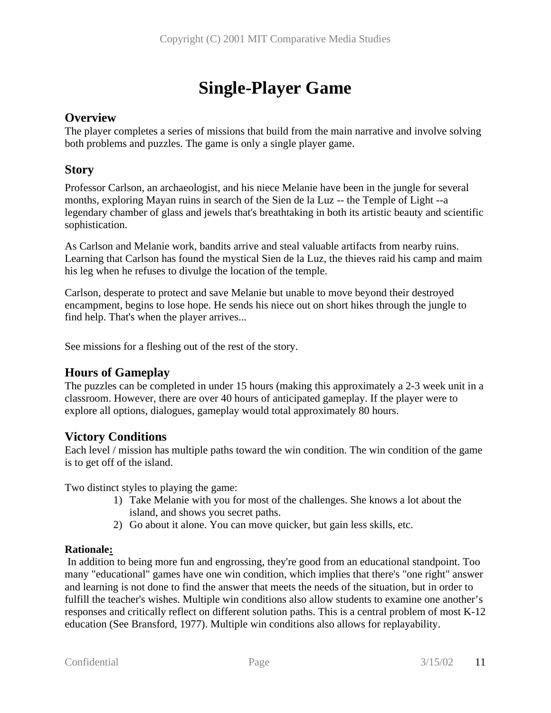# **Single-Player Game**

### **Overview**

The player completes a series of missions that build from the main narrative and involve solving both problems and puzzles. The game is only a single player game.

# **Story**

Professor Carlson, an archaeologist, and his niece Melanie have been in the jungle for several months, exploring Mayan ruins in search of the Sien de la Luz -- the Temple of Light --a legendary chamber of glass and jewels that's breathtaking in both its artistic beauty and scientific sophistication.

As Carlson and Melanie work, bandits arrive and steal valuable artifacts from nearby ruins. Learning that Carlson has found the mystical Sien de la Luz, the thieves raid his camp and maim his leg when he refuses to divulge the location of the temple.

Carlson, desperate to protect and save Melanie but unable to move beyond their destroyed encampment, begins to lose hope. He sends his niece out on short hikes through the jungle to find help. That's when the player arrives...

See missions for a fleshing out of the rest of the story.

### **Hours of Gameplay**

The puzzles can be completed in under 15 hours (making this approximately a 2-3 week unit in a classroom. However, there are over 40 hours of anticipated gameplay. If the player were to explore all options, dialogues, gameplay would total approximately 80 hours.

# **Victory Conditions**

Each level / mission has multiple paths toward the win condition. The win condition of the game is to get off of the island.

Two distinct styles to playing the game:

- 1) Take Melanie with you for most of the challenges. She knows a lot about the island, and shows you secret paths.
- 2) Go about it alone. You can move quicker, but gain less skills, etc.

### **Rationale:**

 In addition to being more fun and engrossing, they're good from an educational standpoint. Too many "educational" games have one win condition, which implies that there's "one right" answer and learning is not done to find the answer that meets the needs of the situation, but in order to fulfill the teacher's wishes. Multiple win conditions also allow students to examine one another's responses and critically reflect on different solution paths. This is a central problem of most K-12 education (See Bransford, 1977). Multiple win conditions also allows for replayability.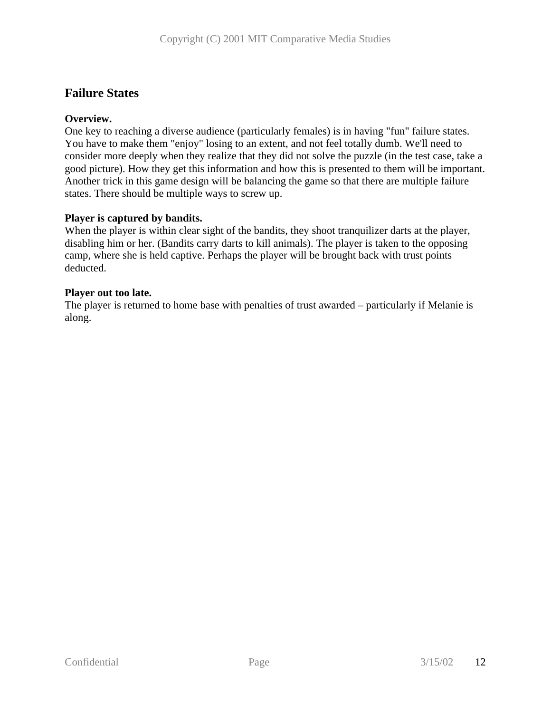# **Failure States**

#### **Overview.**

One key to reaching a diverse audience (particularly females) is in having "fun" failure states. You have to make them "enjoy" losing to an extent, and not feel totally dumb. We'll need to consider more deeply when they realize that they did not solve the puzzle (in the test case, take a good picture). How they get this information and how this is presented to them will be important. Another trick in this game design will be balancing the game so that there are multiple failure states. There should be multiple ways to screw up.

#### **Player is captured by bandits.**

When the player is within clear sight of the bandits, they shoot tranquilizer darts at the player, disabling him or her. (Bandits carry darts to kill animals). The player is taken to the opposing camp, where she is held captive. Perhaps the player will be brought back with trust points deducted.

#### **Player out too late.**

The player is returned to home base with penalties of trust awarded – particularly if Melanie is along.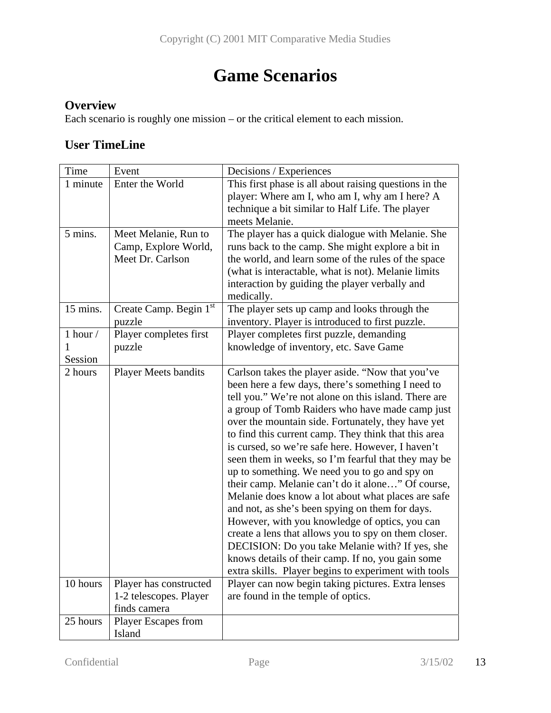# **Game Scenarios**

# **Overview**

Each scenario is roughly one mission – or the critical element to each mission.

# **User TimeLine**

| Time                         | Event                                                            | Decisions / Experiences                                                                                                                                                                                                                                                                                                                                                                                                                                                                                                                                                                                                                                                                                                                                                                                                                                                                                                             |
|------------------------------|------------------------------------------------------------------|-------------------------------------------------------------------------------------------------------------------------------------------------------------------------------------------------------------------------------------------------------------------------------------------------------------------------------------------------------------------------------------------------------------------------------------------------------------------------------------------------------------------------------------------------------------------------------------------------------------------------------------------------------------------------------------------------------------------------------------------------------------------------------------------------------------------------------------------------------------------------------------------------------------------------------------|
| 1 minute                     | Enter the World                                                  | This first phase is all about raising questions in the<br>player: Where am I, who am I, why am I here? A<br>technique a bit similar to Half Life. The player<br>meets Melanie.                                                                                                                                                                                                                                                                                                                                                                                                                                                                                                                                                                                                                                                                                                                                                      |
| 5 mins.                      | Meet Melanie, Run to<br>Camp, Explore World,<br>Meet Dr. Carlson | The player has a quick dialogue with Melanie. She<br>runs back to the camp. She might explore a bit in<br>the world, and learn some of the rules of the space<br>(what is interactable, what is not). Melanie limits<br>interaction by guiding the player verbally and<br>medically.                                                                                                                                                                                                                                                                                                                                                                                                                                                                                                                                                                                                                                                |
| 15 mins.                     | Create Camp. Begin 1st<br>puzzle                                 | The player sets up camp and looks through the<br>inventory. Player is introduced to first puzzle.                                                                                                                                                                                                                                                                                                                                                                                                                                                                                                                                                                                                                                                                                                                                                                                                                                   |
| $1$ hour $/$<br>1<br>Session | Player completes first<br>puzzle                                 | Player completes first puzzle, demanding<br>knowledge of inventory, etc. Save Game                                                                                                                                                                                                                                                                                                                                                                                                                                                                                                                                                                                                                                                                                                                                                                                                                                                  |
| 2 hours                      | <b>Player Meets bandits</b>                                      | Carlson takes the player aside. "Now that you've<br>been here a few days, there's something I need to<br>tell you." We're not alone on this island. There are<br>a group of Tomb Raiders who have made camp just<br>over the mountain side. Fortunately, they have yet<br>to find this current camp. They think that this area<br>is cursed, so we're safe here. However, I haven't<br>seen them in weeks, so I'm fearful that they may be<br>up to something. We need you to go and spy on<br>their camp. Melanie can't do it alone" Of course,<br>Melanie does know a lot about what places are safe<br>and not, as she's been spying on them for days.<br>However, with you knowledge of optics, you can<br>create a lens that allows you to spy on them closer.<br>DECISION: Do you take Melanie with? If yes, she<br>knows details of their camp. If no, you gain some<br>extra skills. Player begins to experiment with tools |
| 10 hours                     | Player has constructed<br>1-2 telescopes. Player<br>finds camera | Player can now begin taking pictures. Extra lenses<br>are found in the temple of optics.                                                                                                                                                                                                                                                                                                                                                                                                                                                                                                                                                                                                                                                                                                                                                                                                                                            |
| 25 hours                     | <b>Player Escapes from</b><br>Island                             |                                                                                                                                                                                                                                                                                                                                                                                                                                                                                                                                                                                                                                                                                                                                                                                                                                                                                                                                     |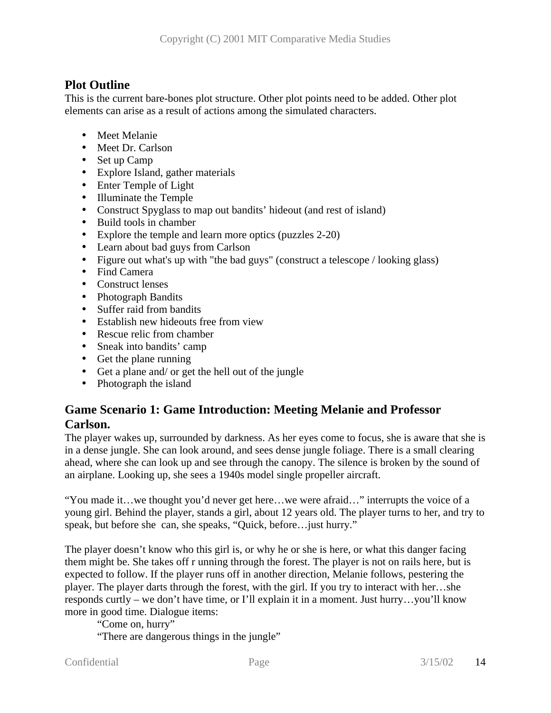# **Plot Outline**

This is the current bare-bones plot structure. Other plot points need to be added. Other plot elements can arise as a result of actions among the simulated characters.

- Meet Melanie
- Meet Dr. Carlson
- Set up Camp
- Explore Island, gather materials
- Enter Temple of Light
- Illuminate the Temple
- Construct Spyglass to map out bandits' hideout (and rest of island)
- Build tools in chamber
- Explore the temple and learn more optics (puzzles 2-20)
- Learn about bad guys from Carlson
- Figure out what's up with "the bad guys" (construct a telescope / looking glass)
- Find Camera
- Construct lenses
- Photograph Bandits
- Suffer raid from bandits
- Establish new hideouts free from view
- Rescue relic from chamber
- Sneak into bandits' camp
- Get the plane running
- Get a plane and/ or get the hell out of the jungle
- Photograph the island

### **Game Scenario 1: Game Introduction: Meeting Melanie and Professor Carlson.**

The player wakes up, surrounded by darkness. As her eyes come to focus, she is aware that she is in a dense jungle. She can look around, and sees dense jungle foliage. There is a small clearing ahead, where she can look up and see through the canopy. The silence is broken by the sound of an airplane. Looking up, she sees a 1940s model single propeller aircraft.

"You made it…we thought you'd never get here…we were afraid…" interrupts the voice of a young girl. Behind the player, stands a girl, about 12 years old. The player turns to her, and try to speak, but before she can, she speaks, "Quick, before…just hurry."

The player doesn't know who this girl is, or why he or she is here, or what this danger facing them might be. She takes off r unning through the forest. The player is not on rails here, but is expected to follow. If the player runs off in another direction, Melanie follows, pestering the player. The player darts through the forest, with the girl. If you try to interact with her…she responds curtly – we don't have time, or I'll explain it in a moment. Just hurry…you'll know more in good time. Dialogue items:

"Come on, hurry" "There are dangerous things in the jungle"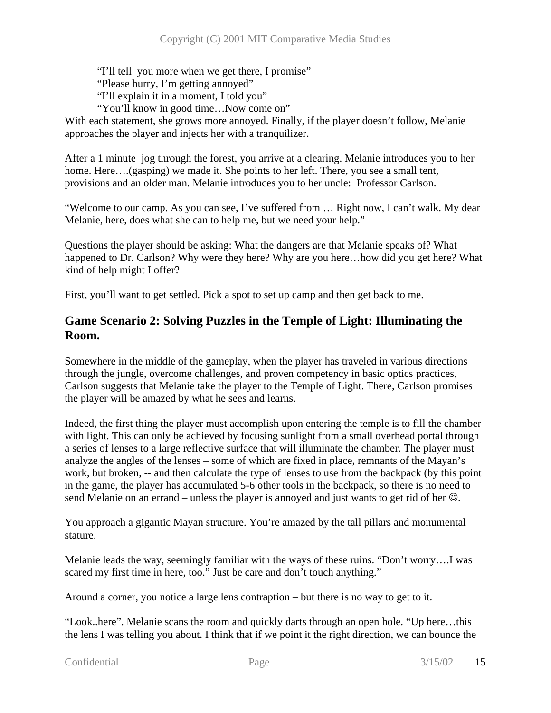"I'll tell you more when we get there, I promise" "Please hurry, I'm getting annoyed" "I'll explain it in a moment, I told you" "You'll know in good time…Now come on"

With each statement, she grows more annoyed. Finally, if the player doesn't follow, Melanie approaches the player and injects her with a tranquilizer.

After a 1 minute jog through the forest, you arrive at a clearing. Melanie introduces you to her home. Here....(gasping) we made it. She points to her left. There, you see a small tent, provisions and an older man. Melanie introduces you to her uncle: Professor Carlson.

"Welcome to our camp. As you can see, I've suffered from … Right now, I can't walk. My dear Melanie, here, does what she can to help me, but we need your help."

Questions the player should be asking: What the dangers are that Melanie speaks of? What happened to Dr. Carlson? Why were they here? Why are you here... how did you get here? What kind of help might I offer?

First, you'll want to get settled. Pick a spot to set up camp and then get back to me.

### **Game Scenario 2: Solving Puzzles in the Temple of Light: Illuminating the Room.**

Somewhere in the middle of the gameplay, when the player has traveled in various directions through the jungle, overcome challenges, and proven competency in basic optics practices, Carlson suggests that Melanie take the player to the Temple of Light. There, Carlson promises the player will be amazed by what he sees and learns.

Indeed, the first thing the player must accomplish upon entering the temple is to fill the chamber with light. This can only be achieved by focusing sunlight from a small overhead portal through a series of lenses to a large reflective surface that will illuminate the chamber. The player must analyze the angles of the lenses – some of which are fixed in place, remnants of the Mayan's work, but broken, -- and then calculate the type of lenses to use from the backpack (by this point in the game, the player has accumulated 5-6 other tools in the backpack, so there is no need to send Melanie on an errand – unless the player is annoyed and just wants to get rid of her  $\odot$ .

You approach a gigantic Mayan structure. You're amazed by the tall pillars and monumental stature.

Melanie leads the way, seemingly familiar with the ways of these ruins. "Don't worry….I was scared my first time in here, too." Just be care and don't touch anything."

Around a corner, you notice a large lens contraption – but there is no way to get to it.

"Look..here". Melanie scans the room and quickly darts through an open hole. "Up here…this the lens I was telling you about. I think that if we point it the right direction, we can bounce the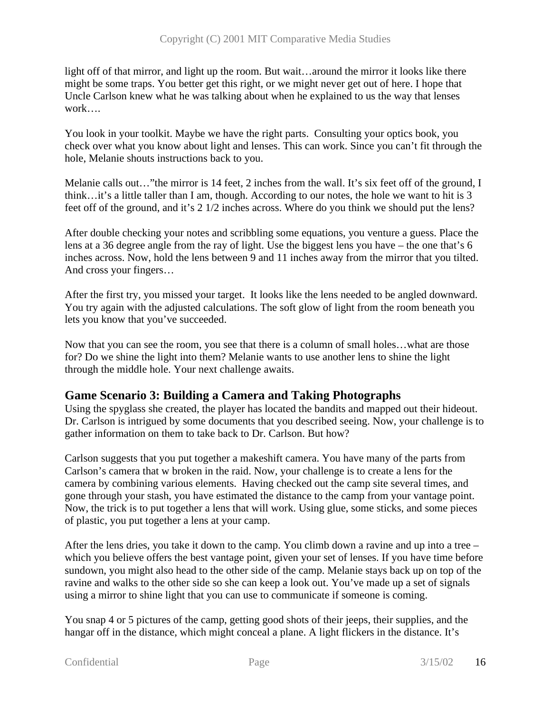light off of that mirror, and light up the room. But wait...around the mirror it looks like there might be some traps. You better get this right, or we might never get out of here. I hope that Uncle Carlson knew what he was talking about when he explained to us the way that lenses work….

You look in your toolkit. Maybe we have the right parts. Consulting your optics book, you check over what you know about light and lenses. This can work. Since you can't fit through the hole, Melanie shouts instructions back to you.

Melanie calls out..." the mirror is 14 feet, 2 inches from the wall. It's six feet off of the ground, I think…it's a little taller than I am, though. According to our notes, the hole we want to hit is 3 feet off of the ground, and it's 2 1/2 inches across. Where do you think we should put the lens?

After double checking your notes and scribbling some equations, you venture a guess. Place the lens at a 36 degree angle from the ray of light. Use the biggest lens you have – the one that's 6 inches across. Now, hold the lens between 9 and 11 inches away from the mirror that you tilted. And cross your fingers…

After the first try, you missed your target. It looks like the lens needed to be angled downward. You try again with the adjusted calculations. The soft glow of light from the room beneath you lets you know that you've succeeded.

Now that you can see the room, you see that there is a column of small holes…what are those for? Do we shine the light into them? Melanie wants to use another lens to shine the light through the middle hole. Your next challenge awaits.

# **Game Scenario 3: Building a Camera and Taking Photographs**

Using the spyglass she created, the player has located the bandits and mapped out their hideout. Dr. Carlson is intrigued by some documents that you described seeing. Now, your challenge is to gather information on them to take back to Dr. Carlson. But how?

Carlson suggests that you put together a makeshift camera. You have many of the parts from Carlson's camera that w broken in the raid. Now, your challenge is to create a lens for the camera by combining various elements. Having checked out the camp site several times, and gone through your stash, you have estimated the distance to the camp from your vantage point. Now, the trick is to put together a lens that will work. Using glue, some sticks, and some pieces of plastic, you put together a lens at your camp.

After the lens dries, you take it down to the camp. You climb down a ravine and up into a tree – which you believe offers the best vantage point, given your set of lenses. If you have time before sundown, you might also head to the other side of the camp. Melanie stays back up on top of the ravine and walks to the other side so she can keep a look out. You've made up a set of signals using a mirror to shine light that you can use to communicate if someone is coming.

You snap 4 or 5 pictures of the camp, getting good shots of their jeeps, their supplies, and the hangar off in the distance, which might conceal a plane. A light flickers in the distance. It's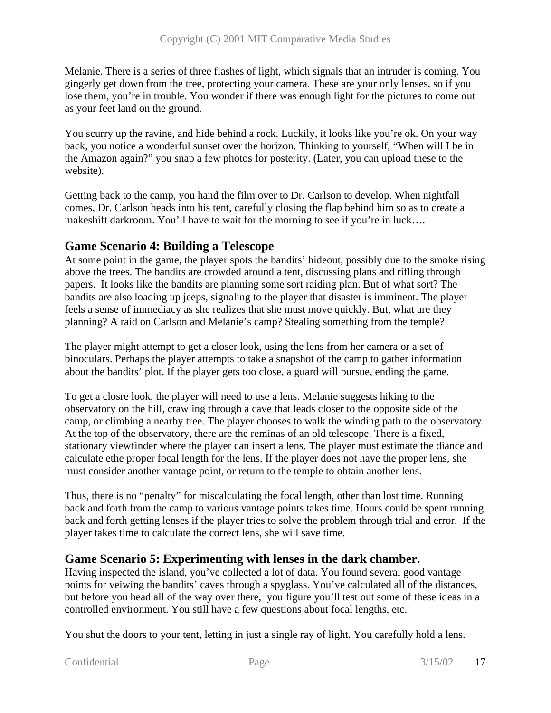Melanie. There is a series of three flashes of light, which signals that an intruder is coming. You gingerly get down from the tree, protecting your camera. These are your only lenses, so if you lose them, you're in trouble. You wonder if there was enough light for the pictures to come out as your feet land on the ground.

You scurry up the ravine, and hide behind a rock. Luckily, it looks like you're ok. On your way back, you notice a wonderful sunset over the horizon. Thinking to yourself, "When will I be in the Amazon again?" you snap a few photos for posterity. (Later, you can upload these to the website).

Getting back to the camp, you hand the film over to Dr. Carlson to develop. When nightfall comes, Dr. Carlson heads into his tent, carefully closing the flap behind him so as to create a makeshift darkroom. You'll have to wait for the morning to see if you're in luck….

### **Game Scenario 4: Building a Telescope**

At some point in the game, the player spots the bandits' hideout, possibly due to the smoke rising above the trees. The bandits are crowded around a tent, discussing plans and rifling through papers. It looks like the bandits are planning some sort raiding plan. But of what sort? The bandits are also loading up jeeps, signaling to the player that disaster is imminent. The player feels a sense of immediacy as she realizes that she must move quickly. But, what are they planning? A raid on Carlson and Melanie's camp? Stealing something from the temple?

The player might attempt to get a closer look, using the lens from her camera or a set of binoculars. Perhaps the player attempts to take a snapshot of the camp to gather information about the bandits' plot. If the player gets too close, a guard will pursue, ending the game.

To get a closre look, the player will need to use a lens. Melanie suggests hiking to the observatory on the hill, crawling through a cave that leads closer to the opposite side of the camp, or climbing a nearby tree. The player chooses to walk the winding path to the observatory. At the top of the observatory, there are the reminas of an old telescope. There is a fixed, stationary viewfinder where the player can insert a lens. The player must estimate the diance and calculate ethe proper focal length for the lens. If the player does not have the proper lens, she must consider another vantage point, or return to the temple to obtain another lens.

Thus, there is no "penalty" for miscalculating the focal length, other than lost time. Running back and forth from the camp to various vantage points takes time. Hours could be spent running back and forth getting lenses if the player tries to solve the problem through trial and error. If the player takes time to calculate the correct lens, she will save time.

### **Game Scenario 5: Experimenting with lenses in the dark chamber.**

Having inspected the island, you've collected a lot of data. You found several good vantage points for veiwing the bandits' caves through a spyglass. You've calculated all of the distances, but before you head all of the way over there, you figure you'll test out some of these ideas in a controlled environment. You still have a few questions about focal lengths, etc.

You shut the doors to your tent, letting in just a single ray of light. You carefully hold a lens.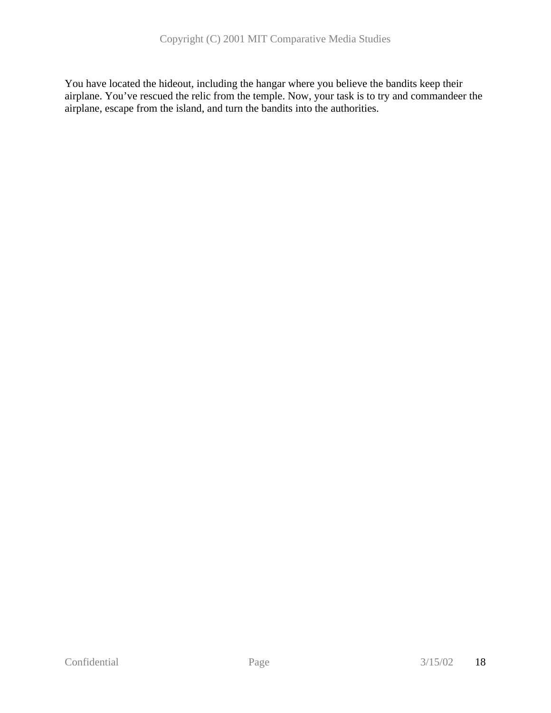You have located the hideout, including the hangar where you believe the bandits keep their airplane. You've rescued the relic from the temple. Now, your task is to try and commandeer the airplane, escape from the island, and turn the bandits into the authorities.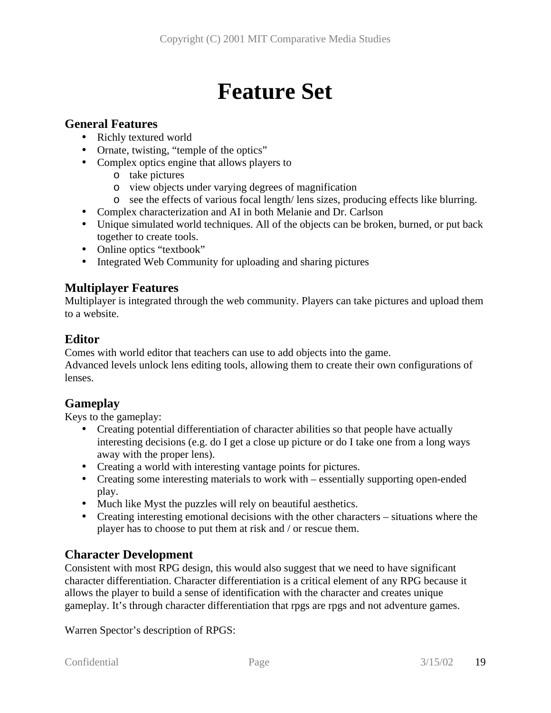# **Feature Set**

#### **General Features**

- Richly textured world
- Ornate, twisting, "temple of the optics"
- Complex optics engine that allows players to
	- o take pictures
	- o view objects under varying degrees of magnification
	- o see the effects of various focal length/ lens sizes, producing effects like blurring.
- Complex characterization and AI in both Melanie and Dr. Carlson
- Unique simulated world techniques. All of the objects can be broken, burned, or put back together to create tools.
- Online optics "textbook"
- Integrated Web Community for uploading and sharing pictures

# **Multiplayer Features**

Multiplayer is integrated through the web community. Players can take pictures and upload them to a website.

# **Editor**

Comes with world editor that teachers can use to add objects into the game.

Advanced levels unlock lens editing tools, allowing them to create their own configurations of lenses.

### **Gameplay**

Keys to the gameplay:

- Creating potential differentiation of character abilities so that people have actually interesting decisions (e.g. do I get a close up picture or do I take one from a long ways away with the proper lens).
- Creating a world with interesting vantage points for pictures.
- Creating some interesting materials to work with essentially supporting open-ended play.
- Much like Myst the puzzles will rely on beautiful aesthetics.
- Creating interesting emotional decisions with the other characters situations where the player has to choose to put them at risk and / or rescue them.

### **Character Development**

Consistent with most RPG design, this would also suggest that we need to have significant character differentiation. Character differentiation is a critical element of any RPG because it allows the player to build a sense of identification with the character and creates unique gameplay. It's through character differentiation that rpgs are rpgs and not adventure games.

Warren Spector's description of RPGS: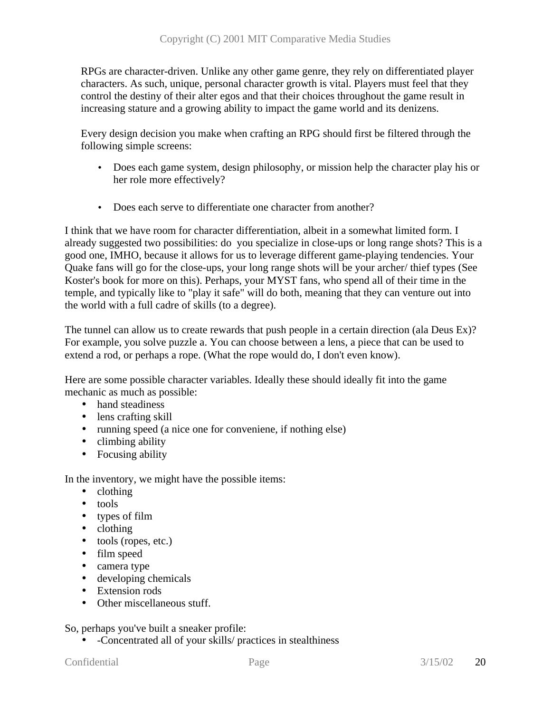RPGs are character-driven. Unlike any other game genre, they rely on differentiated player characters. As such, unique, personal character growth is vital. Players must feel that they control the destiny of their alter egos and that their choices throughout the game result in increasing stature and a growing ability to impact the game world and its denizens.

Every design decision you make when crafting an RPG should first be filtered through the following simple screens:

- Does each game system, design philosophy, or mission help the character play his or her role more effectively?
- Does each serve to differentiate one character from another?

I think that we have room for character differentiation, albeit in a somewhat limited form. I already suggested two possibilities: do you specialize in close-ups or long range shots? This is a good one, IMHO, because it allows for us to leverage different game-playing tendencies. Your Quake fans will go for the close-ups, your long range shots will be your archer/ thief types (See Koster's book for more on this). Perhaps, your MYST fans, who spend all of their time in the temple, and typically like to "play it safe" will do both, meaning that they can venture out into the world with a full cadre of skills (to a degree).

The tunnel can allow us to create rewards that push people in a certain direction (ala Deus Ex)? For example, you solve puzzle a. You can choose between a lens, a piece that can be used to extend a rod, or perhaps a rope. (What the rope would do, I don't even know).

Here are some possible character variables. Ideally these should ideally fit into the game mechanic as much as possible:

- hand steadiness
- lens crafting skill
- running speed (a nice one for conveniene, if nothing else)
- climbing ability
- Focusing ability

In the inventory, we might have the possible items:

- clothing
- tools
- types of film
- clothing
- tools (ropes, etc.)
- film speed
- camera type
- developing chemicals
- Extension rods
- Other miscellaneous stuff.

So, perhaps you've built a sneaker profile:

• -Concentrated all of your skills/ practices in stealthiness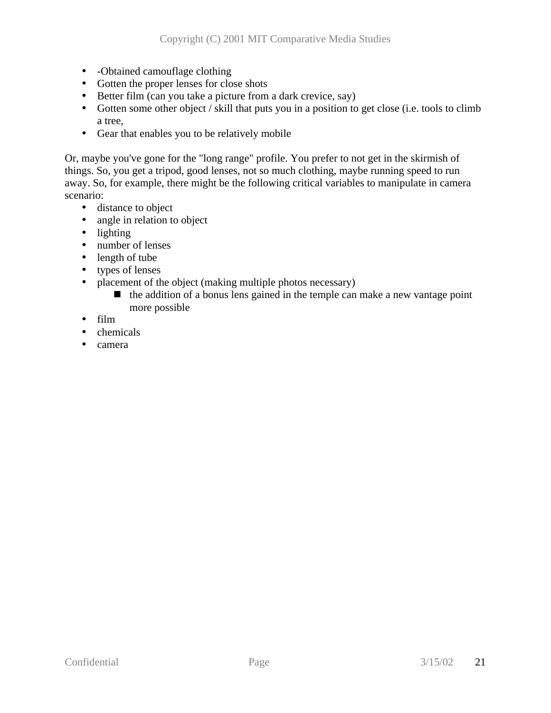- -Obtained camouflage clothing
- Gotten the proper lenses for close shots
- Better film (can you take a picture from a dark crevice, say)
- Gotten some other object / skill that puts you in a position to get close (i.e. tools to climb a tree,
- Gear that enables you to be relatively mobile

Or, maybe you've gone for the "long range" profile. You prefer to not get in the skirmish of things. So, you get a tripod, good lenses, not so much clothing, maybe running speed to run away. So, for example, there might be the following critical variables to manipulate in camera scenario:

- distance to object
- angle in relation to object
- lighting
- number of lenses
- length of tube
- types of lenses
- placement of the object (making multiple photos necessary)
	- $\blacksquare$  the addition of a bonus lens gained in the temple can make a new vantage point more possible
- film
- chemicals
- camera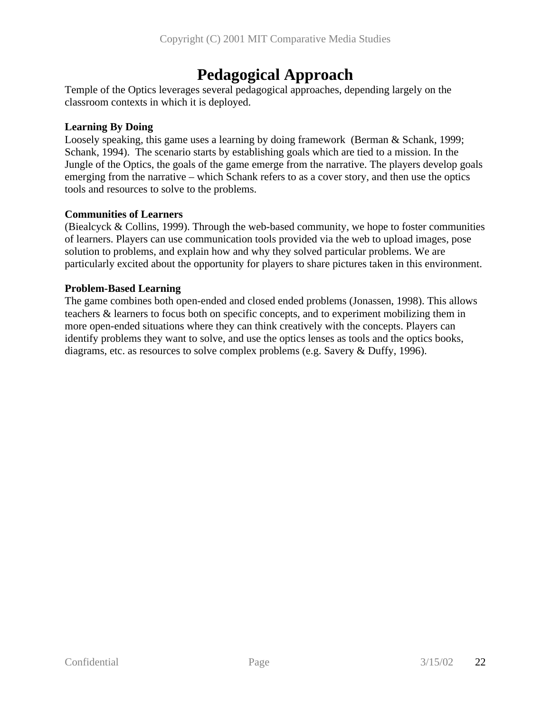# **Pedagogical Approach**

Temple of the Optics leverages several pedagogical approaches, depending largely on the classroom contexts in which it is deployed.

#### **Learning By Doing**

Loosely speaking, this game uses a learning by doing framework (Berman & Schank, 1999; Schank, 1994). The scenario starts by establishing goals which are tied to a mission. In the Jungle of the Optics, the goals of the game emerge from the narrative. The players develop goals emerging from the narrative – which Schank refers to as a cover story, and then use the optics tools and resources to solve to the problems.

#### **Communities of Learners**

(Biealcyck & Collins, 1999). Through the web-based community, we hope to foster communities of learners. Players can use communication tools provided via the web to upload images, pose solution to problems, and explain how and why they solved particular problems. We are particularly excited about the opportunity for players to share pictures taken in this environment.

#### **Problem-Based Learning**

The game combines both open-ended and closed ended problems (Jonassen, 1998). This allows teachers & learners to focus both on specific concepts, and to experiment mobilizing them in more open-ended situations where they can think creatively with the concepts. Players can identify problems they want to solve, and use the optics lenses as tools and the optics books, diagrams, etc. as resources to solve complex problems (e.g. Savery & Duffy, 1996).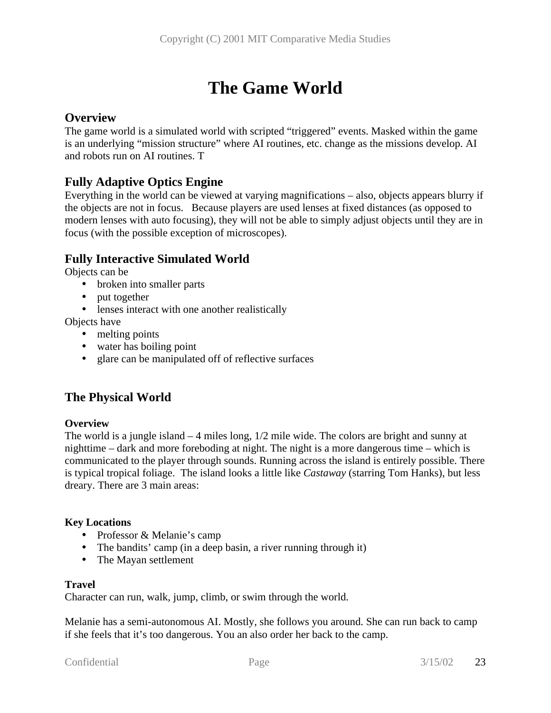# **The Game World**

### **Overview**

The game world is a simulated world with scripted "triggered" events. Masked within the game is an underlying "mission structure" where AI routines, etc. change as the missions develop. AI and robots run on AI routines. T

# **Fully Adaptive Optics Engine**

Everything in the world can be viewed at varying magnifications – also, objects appears blurry if the objects are not in focus. Because players are used lenses at fixed distances (as opposed to modern lenses with auto focusing), they will not be able to simply adjust objects until they are in focus (with the possible exception of microscopes).

# **Fully Interactive Simulated World**

Objects can be

- broken into smaller parts
- put together
- lenses interact with one another realistically
- Objects have
	- melting points
	- water has boiling point
	- glare can be manipulated off of reflective surfaces

# **The Physical World**

#### **Overview**

The world is a jungle island – 4 miles long, 1/2 mile wide. The colors are bright and sunny at nighttime – dark and more foreboding at night. The night is a more dangerous time – which is communicated to the player through sounds. Running across the island is entirely possible. There is typical tropical foliage. The island looks a little like *Castaway* (starring Tom Hanks), but less dreary. There are 3 main areas:

#### **Key Locations**

- Professor & Melanie's camp
- The bandits' camp (in a deep basin, a river running through it)
- The Mayan settlement

#### **Travel**

Character can run, walk, jump, climb, or swim through the world.

Melanie has a semi-autonomous AI. Mostly, she follows you around. She can run back to camp if she feels that it's too dangerous. You an also order her back to the camp.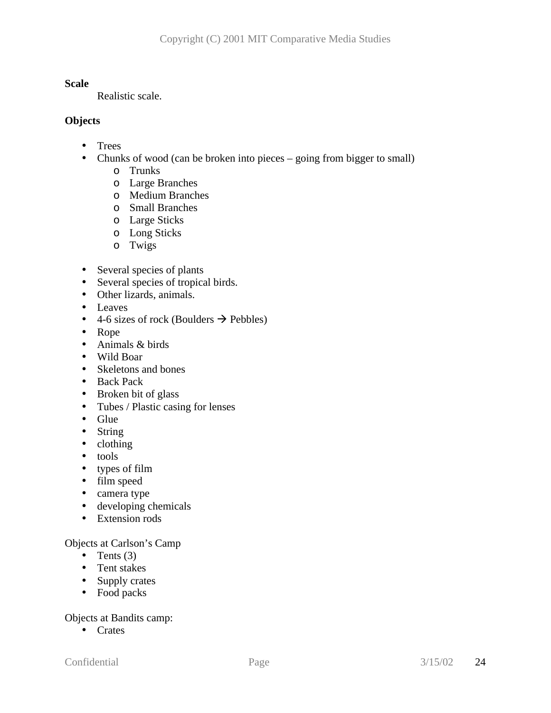**Scale**

Realistic scale.

#### **Objects**

- Trees
- Chunks of wood (can be broken into pieces going from bigger to small)
	- o Trunks
	- o Large Branches
	- o Medium Branches
	- o Small Branches
	- o Large Sticks
	- o Long Sticks
	- o Twigs
- Several species of plants
- Several species of tropical birds.
- Other lizards, animals.
- Leaves
- 4-6 sizes of rock (Boulders  $\rightarrow$  Pebbles)
- Rope
- Animals & birds
- Wild Boar
- Skeletons and bones
- Back Pack
- Broken bit of glass
- Tubes / Plastic casing for lenses
- Glue
- String
- clothing
- tools
- types of film
- film speed
- camera type
- developing chemicals
- Extension rods

#### Objects at Carlson's Camp

- Tents  $(3)$
- Tent stakes
- Supply crates
- Food packs

#### Objects at Bandits camp:

• Crates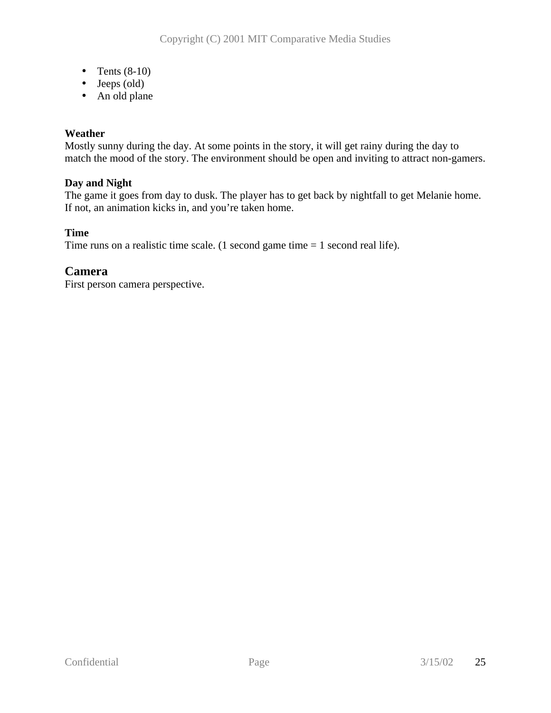- Tents  $(8-10)$
- Jeeps (old)
- An old plane

#### **Weather**

Mostly sunny during the day. At some points in the story, it will get rainy during the day to match the mood of the story. The environment should be open and inviting to attract non-gamers.

#### **Day and Night**

The game it goes from day to dusk. The player has to get back by nightfall to get Melanie home. If not, an animation kicks in, and you're taken home.

#### **Time**

Time runs on a realistic time scale. (1 second game time = 1 second real life).

#### **Camera**

First person camera perspective.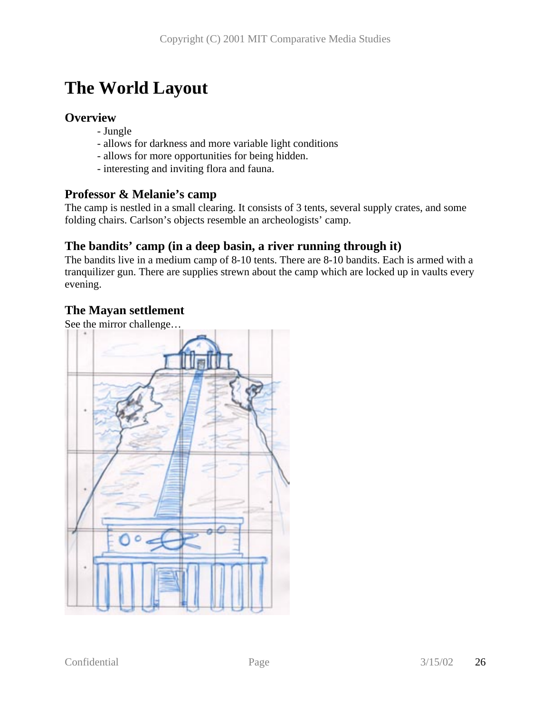# **The World Layout**

# **Overview**

- Jungle
- allows for darkness and more variable light conditions
- allows for more opportunities for being hidden.
- interesting and inviting flora and fauna.

### **Professor & Melanie's camp**

The camp is nestled in a small clearing. It consists of 3 tents, several supply crates, and some folding chairs. Carlson's objects resemble an archeologists' camp.

# **The bandits' camp (in a deep basin, a river running through it)**

The bandits live in a medium camp of 8-10 tents. There are 8-10 bandits. Each is armed with a tranquilizer gun. There are supplies strewn about the camp which are locked up in vaults every evening.

### **The Mayan settlement**

See the mirror challenge…

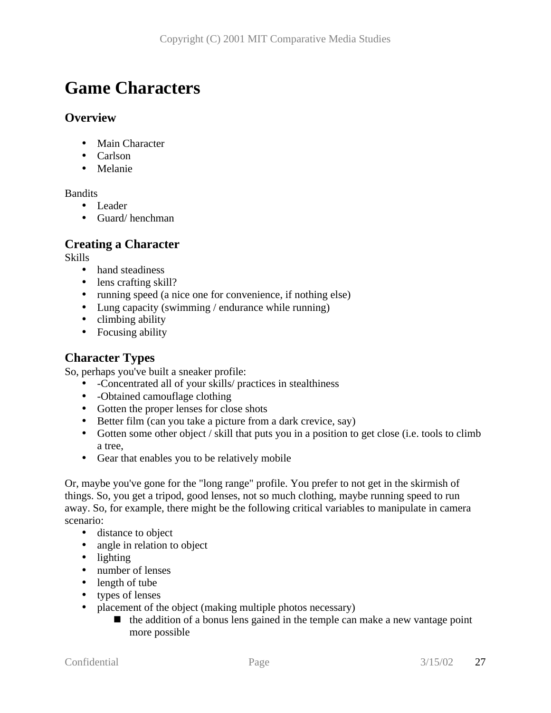# **Game Characters**

# **Overview**

- Main Character
- Carlson
- Melanie

Bandits

- Leader
- Guard/ henchman

# **Creating a Character**

Skills

- hand steadiness
- lens crafting skill?
- running speed (a nice one for convenience, if nothing else)
- Lung capacity (swimming / endurance while running)
- climbing ability
- Focusing ability

# **Character Types**

So, perhaps you've built a sneaker profile:

- -Concentrated all of your skills/ practices in stealthiness
- -Obtained camouflage clothing
- Gotten the proper lenses for close shots
- Better film (can you take a picture from a dark crevice, say)
- Gotten some other object / skill that puts you in a position to get close (i.e. tools to climb a tree,
- Gear that enables you to be relatively mobile

Or, maybe you've gone for the "long range" profile. You prefer to not get in the skirmish of things. So, you get a tripod, good lenses, not so much clothing, maybe running speed to run away. So, for example, there might be the following critical variables to manipulate in camera scenario:

- distance to object
- angle in relation to object
- lighting
- number of lenses
- length of tube
- types of lenses
- placement of the object (making multiple photos necessary)
	- $\blacksquare$  the addition of a bonus lens gained in the temple can make a new vantage point more possible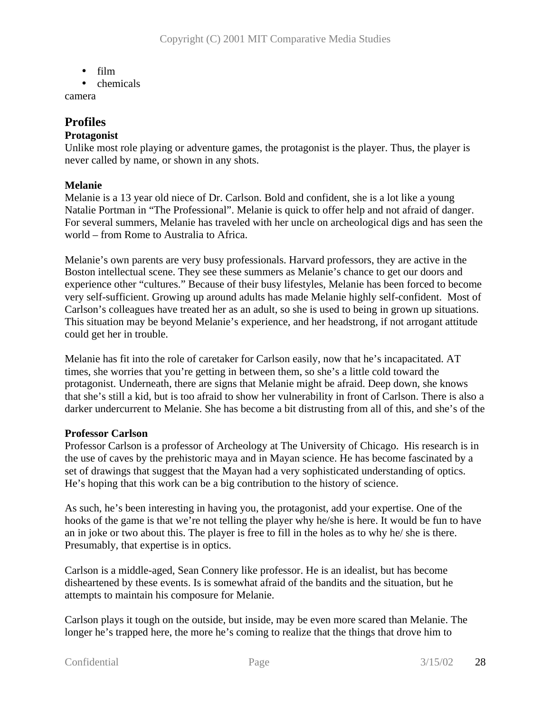- film
- chemicals
- camera

# **Profiles**

#### **Protagonist**

Unlike most role playing or adventure games, the protagonist is the player. Thus, the player is never called by name, or shown in any shots.

#### **Melanie**

Melanie is a 13 year old niece of Dr. Carlson. Bold and confident, she is a lot like a young Natalie Portman in "The Professional". Melanie is quick to offer help and not afraid of danger. For several summers, Melanie has traveled with her uncle on archeological digs and has seen the world – from Rome to Australia to Africa.

Melanie's own parents are very busy professionals. Harvard professors, they are active in the Boston intellectual scene. They see these summers as Melanie's chance to get our doors and experience other "cultures." Because of their busy lifestyles, Melanie has been forced to become very self-sufficient. Growing up around adults has made Melanie highly self-confident. Most of Carlson's colleagues have treated her as an adult, so she is used to being in grown up situations. This situation may be beyond Melanie's experience, and her headstrong, if not arrogant attitude could get her in trouble.

Melanie has fit into the role of caretaker for Carlson easily, now that he's incapacitated. AT times, she worries that you're getting in between them, so she's a little cold toward the protagonist. Underneath, there are signs that Melanie might be afraid. Deep down, she knows that she's still a kid, but is too afraid to show her vulnerability in front of Carlson. There is also a darker undercurrent to Melanie. She has become a bit distrusting from all of this, and she's of the

#### **Professor Carlson**

Professor Carlson is a professor of Archeology at The University of Chicago. His research is in the use of caves by the prehistoric maya and in Mayan science. He has become fascinated by a set of drawings that suggest that the Mayan had a very sophisticated understanding of optics. He's hoping that this work can be a big contribution to the history of science.

As such, he's been interesting in having you, the protagonist, add your expertise. One of the hooks of the game is that we're not telling the player why he/she is here. It would be fun to have an in joke or two about this. The player is free to fill in the holes as to why he/ she is there. Presumably, that expertise is in optics.

Carlson is a middle-aged, Sean Connery like professor. He is an idealist, but has become disheartened by these events. Is is somewhat afraid of the bandits and the situation, but he attempts to maintain his composure for Melanie.

Carlson plays it tough on the outside, but inside, may be even more scared than Melanie. The longer he's trapped here, the more he's coming to realize that the things that drove him to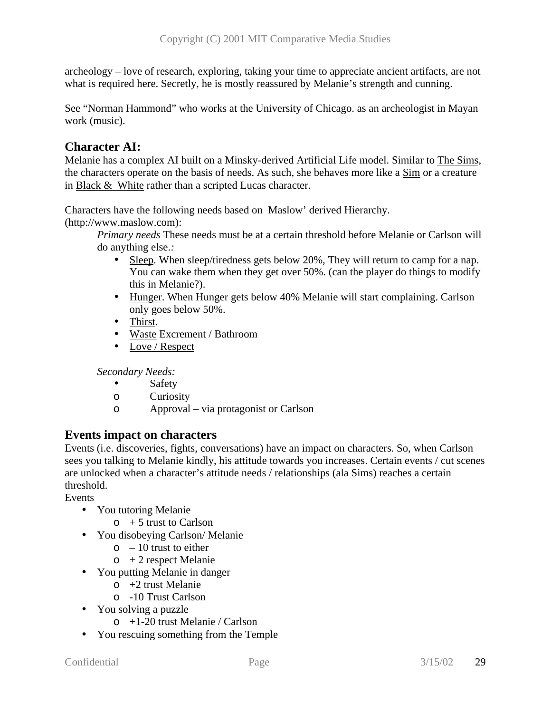archeology – love of research, exploring, taking your time to appreciate ancient artifacts, are not what is required here. Secretly, he is mostly reassured by Melanie's strength and cunning.

See "Norman Hammond" who works at the University of Chicago. as an archeologist in Mayan work (music).

#### **Character AI:**

Melanie has a complex AI built on a Minsky-derived Artificial Life model. Similar to The Sims, the characters operate on the basis of needs. As such, she behaves more like a Sim or a creature in Black & White rather than a scripted Lucas character.

Characters have the following needs based on Maslow' derived Hierarchy.

(http://www.maslow.com):

*Primary needs* These needs must be at a certain threshold before Melanie or Carlson will do anything else.*:*

- Sleep. When sleep/tiredness gets below 20%, They will return to camp for a nap. You can wake them when they get over 50%. (can the player do things to modify this in Melanie?).
- Hunger. When Hunger gets below 40% Melanie will start complaining. Carlson only goes below 50%.
- Thirst.
- Waste Excrement / Bathroom
- Love / Respect

*Secondary Needs:*

- Safety
- o Curiosity
- o Approval via protagonist or Carlson

### **Events impact on characters**

Events (i.e. discoveries, fights, conversations) have an impact on characters. So, when Carlson sees you talking to Melanie kindly, his attitude towards you increases. Certain events / cut scenes are unlocked when a character's attitude needs / relationships (ala Sims) reaches a certain threshold.

Events

- You tutoring Melanie
	- $\circ$  + 5 trust to Carlson
- You disobeying Carlson/ Melanie
	- $\Omega = 10$  trust to either
	- $\circ$  + 2 respect Melanie
- You putting Melanie in danger
	- $\circ$  +2 trust Melanie
	- o -10 Trust Carlson
- You solving a puzzle
	- o +1-20 trust Melanie / Carlson
- You rescuing something from the Temple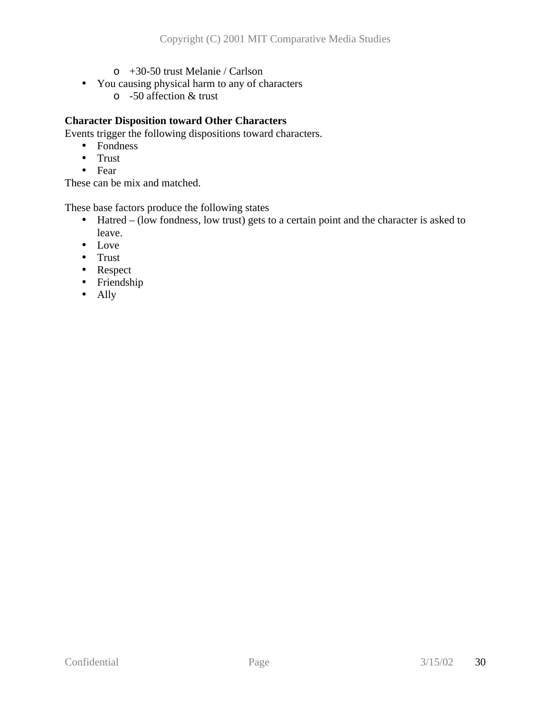- o +30-50 trust Melanie / Carlson
- You causing physical harm to any of characters
	- o -50 affection & trust

#### **Character Disposition toward Other Characters**

Events trigger the following dispositions toward characters.

- Fondness
- Trust
- Fear

These can be mix and matched.

These base factors produce the following states

- Hatred (low fondness, low trust) gets to a certain point and the character is asked to leave.
- Love
- Trust
- Respect
- Friendship
- Ally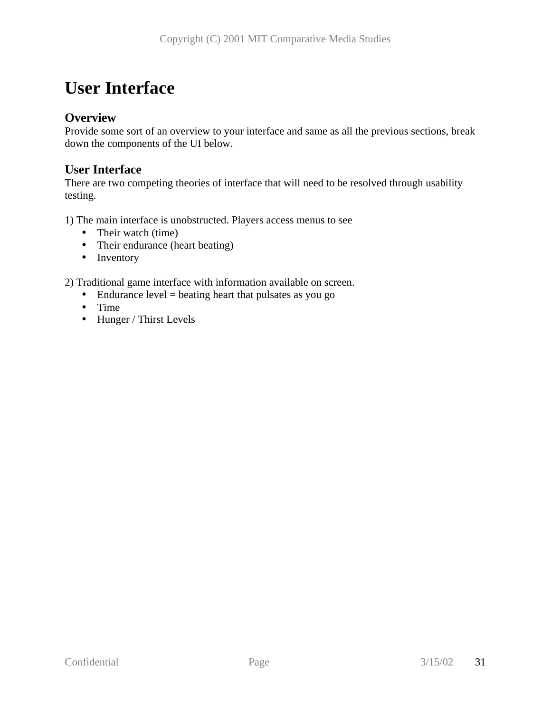# **User Interface**

# **Overview**

Provide some sort of an overview to your interface and same as all the previous sections, break down the components of the UI below.

# **User Interface**

There are two competing theories of interface that will need to be resolved through usability testing.

1) The main interface is unobstructed. Players access menus to see

- Their watch (time)
- Their endurance (heart beating)
- Inventory

2) Traditional game interface with information available on screen.

- Endurance level = beating heart that pulsates as you go
- Time
- Hunger / Thirst Levels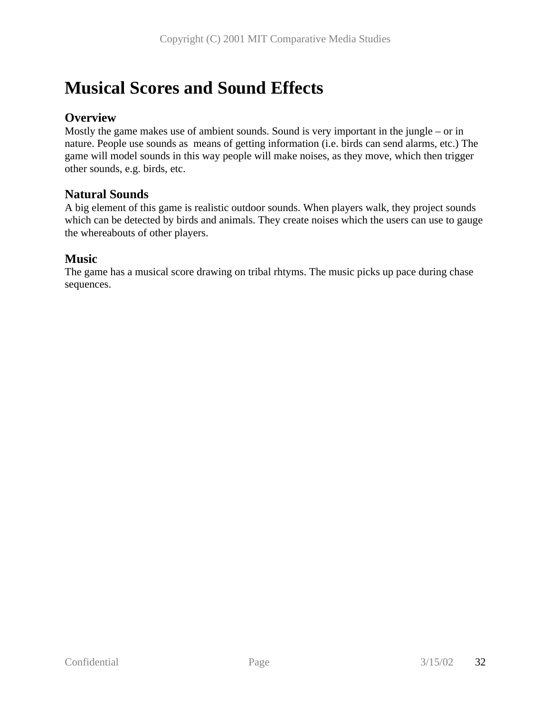# **Musical Scores and Sound Effects**

# **Overview**

Mostly the game makes use of ambient sounds. Sound is very important in the jungle – or in nature. People use sounds as means of getting information (i.e. birds can send alarms, etc.) The game will model sounds in this way people will make noises, as they move, which then trigger other sounds, e.g. birds, etc.

### **Natural Sounds**

A big element of this game is realistic outdoor sounds. When players walk, they project sounds which can be detected by birds and animals. They create noises which the users can use to gauge the whereabouts of other players.

### **Music**

The game has a musical score drawing on tribal rhtyms. The music picks up pace during chase sequences.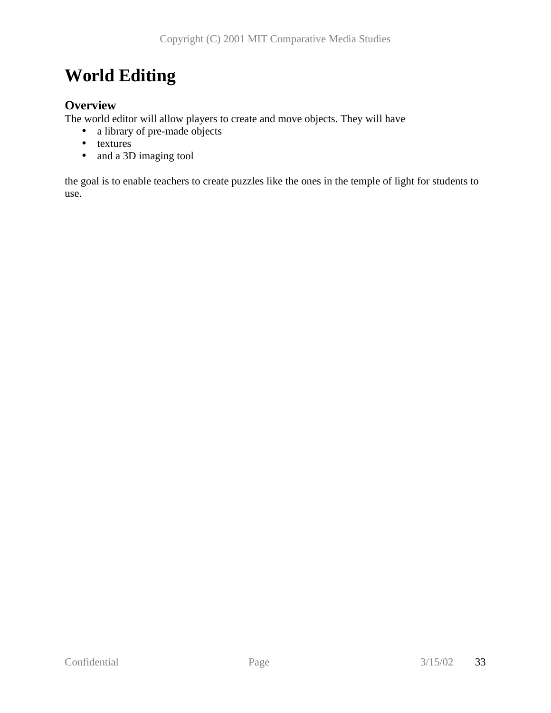# **World Editing**

### **Overview**

The world editor will allow players to create and move objects. They will have

- a library of pre-made objects
- textures<br>• and a 3D
- and a 3D imaging tool

the goal is to enable teachers to create puzzles like the ones in the temple of light for students to use.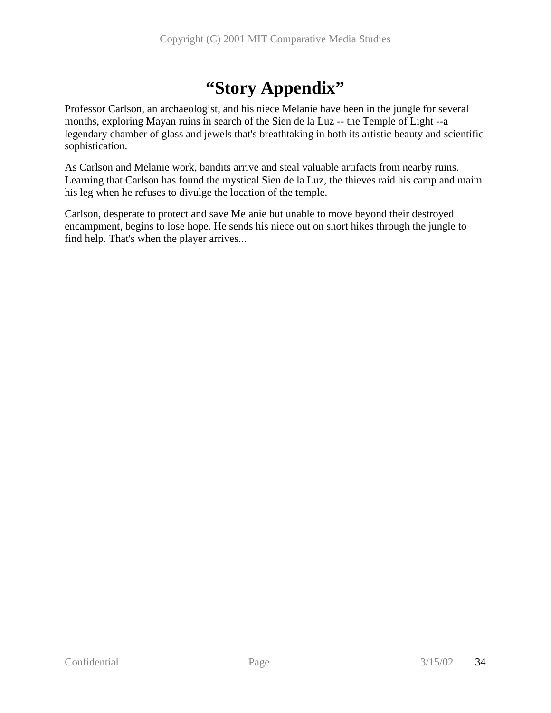# **"Story Appendix"**

Professor Carlson, an archaeologist, and his niece Melanie have been in the jungle for several months, exploring Mayan ruins in search of the Sien de la Luz -- the Temple of Light --a legendary chamber of glass and jewels that's breathtaking in both its artistic beauty and scientific sophistication.

As Carlson and Melanie work, bandits arrive and steal valuable artifacts from nearby ruins. Learning that Carlson has found the mystical Sien de la Luz, the thieves raid his camp and maim his leg when he refuses to divulge the location of the temple.

Carlson, desperate to protect and save Melanie but unable to move beyond their destroyed encampment, begins to lose hope. He sends his niece out on short hikes through the jungle to find help. That's when the player arrives...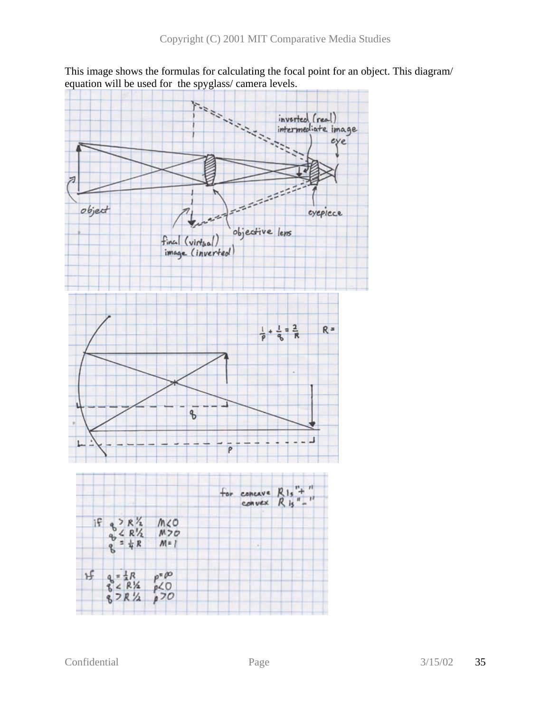This image shows the formulas for calculating the focal point for an object. This diagram/ equation will be used for the spyglass/ camera levels.

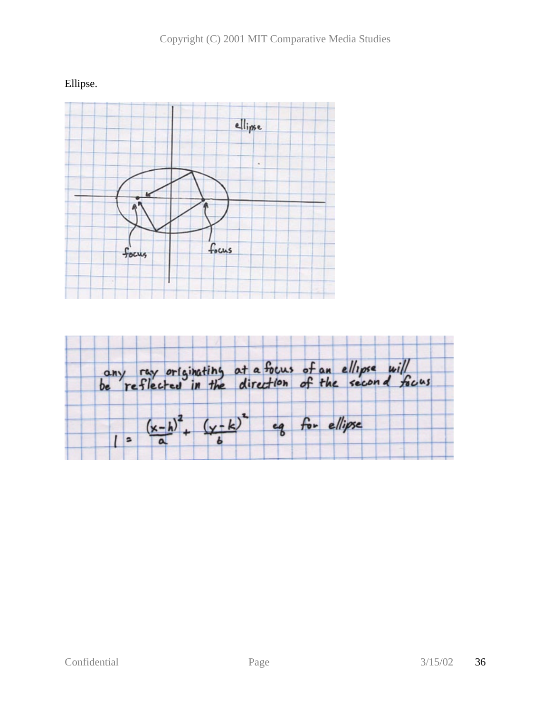



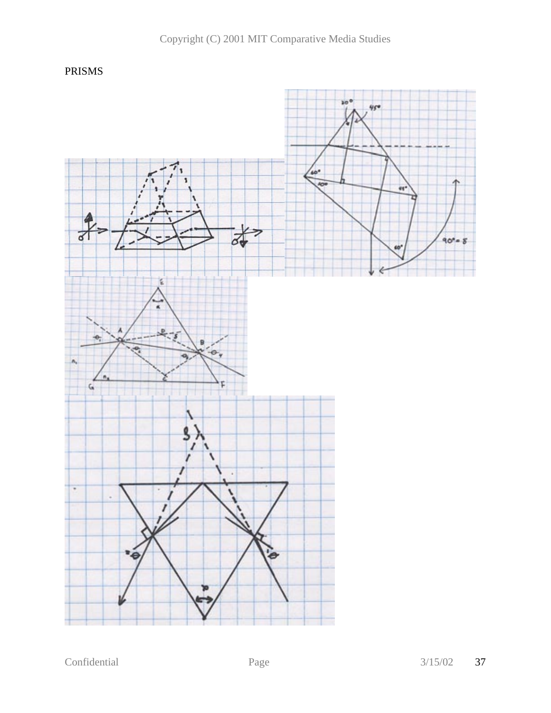

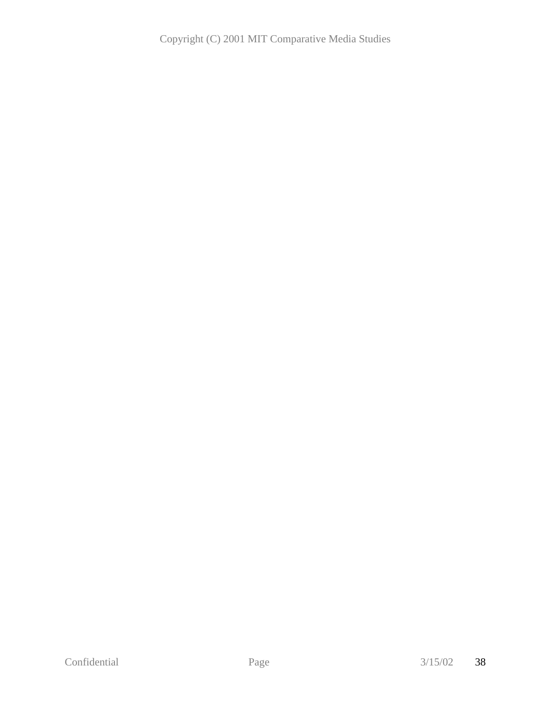Copyright (C) 2001 MIT Comparative Media Studies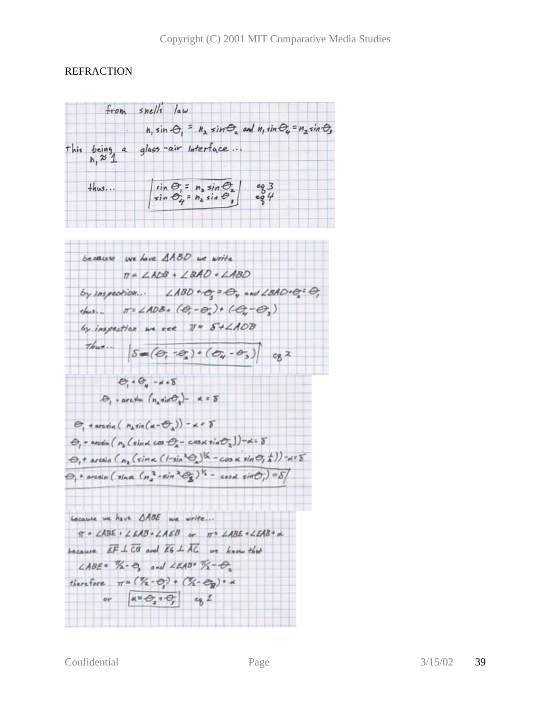#### REFRACTION

|                         | from snells law                                                                                                          |
|-------------------------|--------------------------------------------------------------------------------------------------------------------------|
|                         | $h_1 \sin \Theta_1 = h_2 \sin \Theta_2$ and $h_1 \sin \Theta_4 = h_2 \sin \Theta_3$                                      |
| this being a<br>$h, 21$ | glass-air Interface                                                                                                      |
| $+$ hus                 | $\begin{bmatrix} \sin \Theta_1 & n_2 \sin \Theta_2 \\ \sin \Theta_4 & n_2 \sin \Theta_3 \end{bmatrix}$<br>$-83$<br>$-84$ |

because we have AABD we write  $\pi = \angle ADB + \angle BAD + \angle ABD$ by inspection...  $\angle ABD + \theta_2 = \Theta_4$  and  $\angle BAD + \theta_2 = \Theta_1$  $t_{\text{max}} = \pi \cdot \angle A \circ \delta \cdot (\Theta - \Theta_{\lambda}) \cdot (\Theta_{\nu} - \Theta_{\lambda})$ by inspection we see  $\pi$ =  $S+2AOD$ Thus ...  $S=(\sigma_1-\sigma_2)+(\sigma_4-\sigma_3)\sigma_8$  $6.49 - 6.8$  $\Theta_1$  = arctin  $(n_n sin \Theta_n)$  =  $\kappa = \delta$  $\Theta$ , + arctin  $(n_1 \sin(\kappa - \Theta_1)) - \kappa \cdot \delta$  $\Theta_i$  + arctin ( $n_i$  (sind cas  $\Theta_i$  - casd sid $\Theta_i$ )) - d= 8  $\Theta_i$ + arctic  $(n_2$  (sink (1-sin  $\Theta_i$ )  $\sim$  cos x sin $\Theta_i$ )) -x=5  $\Theta_i$ + arcsin (  $sin\alpha$   $(n_a^2-sin^2\mathcal{O}_2^*)$ <sup>K</sup> - cood  $sin\mathcal{O}_i$ ) =  $\delta$ Lecouve we have *AABE* we write...  $\Upsilon$  = LABE + LEAB + LAEB or  $\pi$  = LABE + LEAB + a because  $EF \perp \overline{CB}$  and  $\overline{EG} \perp \overline{AC}$  we know that  $\angle ABC = \frac{1}{2} \times -\Theta_3$  and  $\angle EAB = \frac{1}{2} \times -\Theta_3$  $therefore \pi = (\% - \Theta) + (\% - \Theta) * \kappa$ or  $x = \theta_1 + \theta_2$   $\theta_3$  1